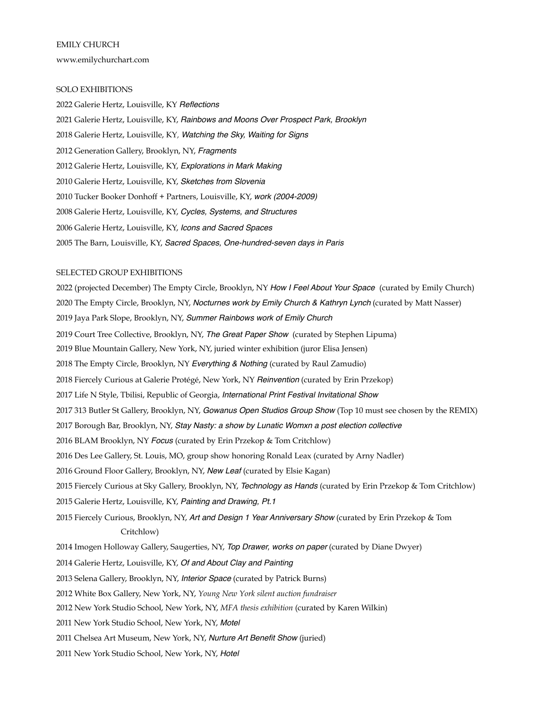EMILY CHURCH www.emilychurchart.com

#### SOLO EXHIBITIONS

2022 Galerie Hertz, Louisville, KY *Reflections* 2021 Galerie Hertz, Louisville, KY, *Rainbows and Moons Over Prospect Park, Brooklyn* 2018 Galerie Hertz, Louisville, KY*, Watching the Sky, Waiting for Signs* 2012 Generation Gallery, Brooklyn, NY, *Fragments* 2012 Galerie Hertz, Louisville, KY, *Explorations in Mark Making* 2010 Galerie Hertz, Louisville, KY, *Sketches from Slovenia* 2010 Tucker Booker Donhoff + Partners, Louisville, KY, *work (2004-2009)* 2008 Galerie Hertz, Louisville, KY, *Cycles, Systems, and Structures* 2006 Galerie Hertz, Louisville, KY, *Icons and Sacred Spaces* 2005 The Barn, Louisville, KY, *Sacred Spaces, One-hundred-seven days in Paris*

### SELECTED GROUP EXHIBITIONS

2022 (projected December) The Empty Circle, Brooklyn, NY *How I Feel About Your Space* (curated by Emily Church) 2020 The Empty Circle, Brooklyn, NY, *Nocturnes work by Emily Church & Kathryn Lynch* (curated by Matt Nasser) 2019 Jaya Park Slope, Brooklyn, NY, *Summer Rainbows work of Emily Church* 2019 Court Tree Collective, Brooklyn, NY, *The Great Paper Show* (curated by Stephen Lipuma) 2019 Blue Mountain Gallery, New York, NY, juried winter exhibition (juror Elisa Jensen) 2018 The Empty Circle, Brooklyn, NY *Everything & Nothing* (curated by Raul Zamudio) 2018 Fiercely Curious at Galerie Protégé, New York, NY *Reinvention* (curated by Erin Przekop) 2017 Life N Style, Tbilisi, Republic of Georgia, *International Print Festival Invitational Show* 2017 313 Butler St Gallery, Brooklyn, NY, *Gowanus Open Studios Group Show* (Top 10 must see chosen by the REMIX) 2017 Borough Bar, Brooklyn, NY, *Stay Nasty: a show by Lunatic Womxn a post election collective* 2016 BLAM Brooklyn, NY *Focus* (curated by Erin Przekop & Tom Critchlow) 2016 Des Lee Gallery, St. Louis, MO, group show honoring Ronald Leax (curated by Arny Nadler) 2016 Ground Floor Gallery, Brooklyn, NY, *New Leaf* (curated by Elsie Kagan) 2015 Fiercely Curious at Sky Gallery, Brooklyn, NY, *Technology as Hands* (curated by Erin Przekop & Tom Critchlow) 2015 Galerie Hertz, Louisville, KY, *Painting and Drawing, Pt.1* 2015 Fiercely Curious, Brooklyn, NY, *Art and Design 1 Year Anniversary Show* (curated by Erin Przekop & Tom Critchlow) 2014 Imogen Holloway Gallery, Saugerties, NY, *Top Drawer, works on paper* (curated by Diane Dwyer) 2014 Galerie Hertz, Louisville, KY, *Of and About Clay and Painting*  2013 Selena Gallery, Brooklyn, NY, *Interior Space* (curated by Patrick Burns) 2012 White Box Gallery, New York, NY, *Young New York silent auction fundraiser*  2012 New York Studio School, New York, NY, *MFA thesis exhibition* (curated by Karen Wilkin) 2011 New York Studio School, New York, NY, *Motel* 

2011 Chelsea Art Museum, New York, NY, *Nurture Art Benefit Show* (juried)

2011 New York Studio School, New York, NY, *Hotel*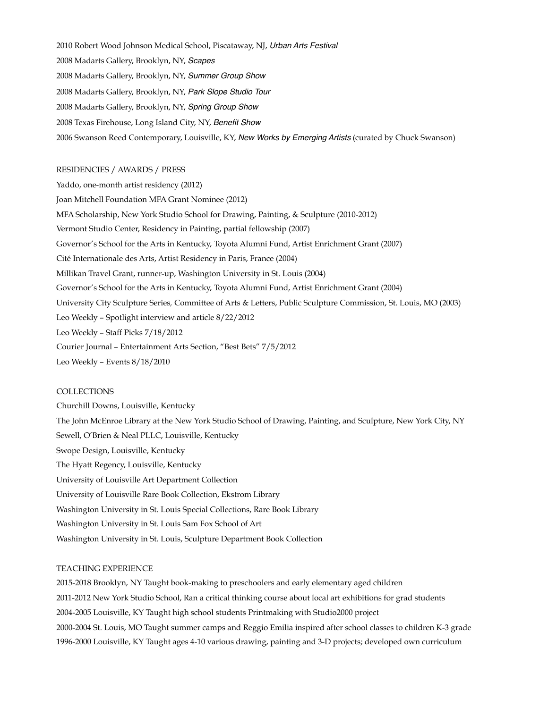2010 Robert Wood Johnson Medical School, Piscataway, NJ, *Urban Arts Festival* 2008 Madarts Gallery, Brooklyn, NY, *Scapes* 2008 Madarts Gallery, Brooklyn, NY, *Summer Group Show* 2008 Madarts Gallery, Brooklyn, NY, *Park Slope Studio Tour* 2008 Madarts Gallery, Brooklyn, NY, *Spring Group Show* 2008 Texas Firehouse, Long Island City, NY, *Benefit Show* 2006 Swanson Reed Contemporary, Louisville, KY, *New Works by Emerging Artists* (curated by Chuck Swanson)

### RESIDENCIES / AWARDS / PRESS

Yaddo, one-month artist residency (2012) Joan Mitchell Foundation MFA Grant Nominee (2012) MFA Scholarship, New York Studio School for Drawing, Painting, & Sculpture (2010-2012) Vermont Studio Center, Residency in Painting, partial fellowship (2007) Governor's School for the Arts in Kentucky, Toyota Alumni Fund, Artist Enrichment Grant (2007) Cité Internationale des Arts, Artist Residency in Paris, France (2004) Millikan Travel Grant, runner-up, Washington University in St. Louis (2004) Governor's School for the Arts in Kentucky, Toyota Alumni Fund, Artist Enrichment Grant (2004) University City Sculpture Series*,* Committee of Arts & Letters, Public Sculpture Commission, St. Louis, MO (2003) Leo Weekly – Spotlight interview and article 8/22/2012 Leo Weekly – Staff Picks 7/18/2012 Courier Journal – Entertainment Arts Section, "Best Bets" 7/5/2012 Leo Weekly – Events 8/18/2010

### COLLECTIONS

Churchill Downs, Louisville, Kentucky The John McEnroe Library at the New York Studio School of Drawing, Painting, and Sculpture, New York City, NY Sewell, O'Brien & Neal PLLC, Louisville, Kentucky Swope Design, Louisville, Kentucky The Hyatt Regency, Louisville, Kentucky University of Louisville Art Department Collection University of Louisville Rare Book Collection, Ekstrom Library Washington University in St. Louis Special Collections, Rare Book Library Washington University in St. Louis Sam Fox School of Art Washington University in St. Louis, Sculpture Department Book Collection

#### TEACHING EXPERIENCE

2015-2018 Brooklyn, NY Taught book-making to preschoolers and early elementary aged children 2011-2012 New York Studio School, Ran a critical thinking course about local art exhibitions for grad students 2004-2005 Louisville, KY Taught high school students Printmaking with Studio2000 project 2000-2004 St. Louis, MO Taught summer camps and Reggio Emilia inspired after school classes to children K-3 grade 1996-2000 Louisville, KY Taught ages 4-10 various drawing, painting and 3-D projects; developed own curriculum